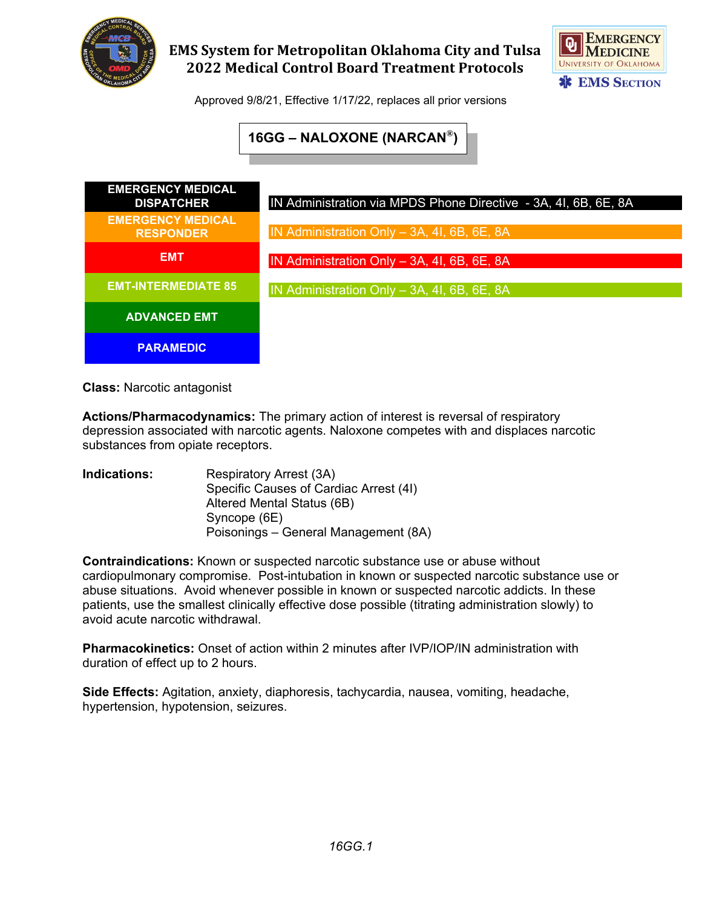

## **EMS System for Metropolitan Oklahoma City and Tulsa 2022 Medical Control Board Treatment Protocols**



Approved 9/8/21, Effective 1/17/22, replaces all prior versions

**16GG – NALOXONE (NARCAN®)**



**Class:** Narcotic antagonist

**Actions/Pharmacodynamics:** The primary action of interest is reversal of respiratory depression associated with narcotic agents. Naloxone competes with and displaces narcotic substances from opiate receptors.

| Indications: | Respiratory Arrest (3A)                |
|--------------|----------------------------------------|
|              | Specific Causes of Cardiac Arrest (4I) |
|              | Altered Mental Status (6B)             |
|              | Syncope (6E)                           |
|              | Poisonings - General Management (8A)   |

**Contraindications:** Known or suspected narcotic substance use or abuse without cardiopulmonary compromise. Post-intubation in known or suspected narcotic substance use or abuse situations. Avoid whenever possible in known or suspected narcotic addicts. In these patients, use the smallest clinically effective dose possible (titrating administration slowly) to avoid acute narcotic withdrawal.

**Pharmacokinetics:** Onset of action within 2 minutes after IVP/IOP/IN administration with duration of effect up to 2 hours.

**Side Effects:** Agitation, anxiety, diaphoresis, tachycardia, nausea, vomiting, headache, hypertension, hypotension, seizures.